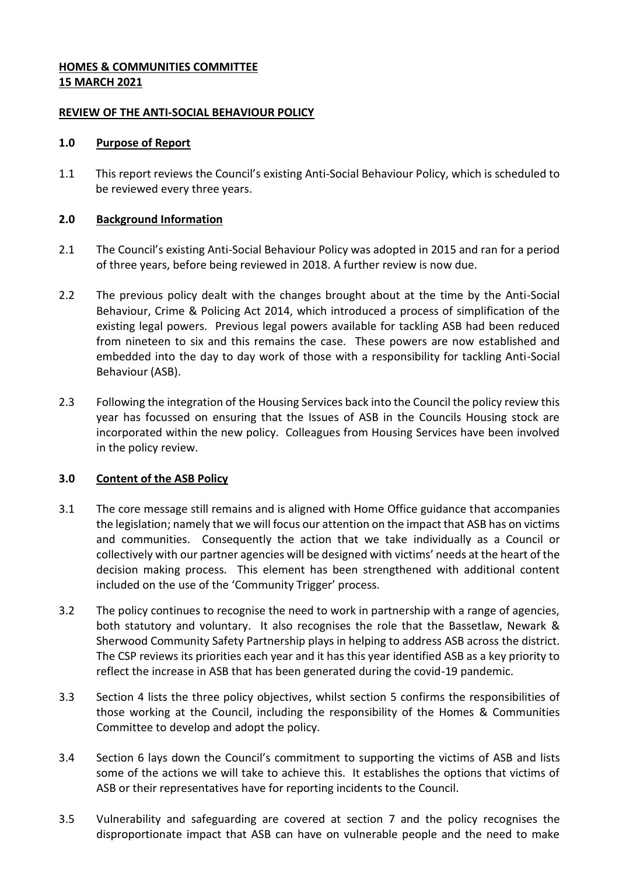# **HOMES & COMMUNITIES COMMITTEE 15 MARCH 2021**

### **REVIEW OF THE ANTI-SOCIAL BEHAVIOUR POLICY**

#### **1.0 Purpose of Report**

1.1 This report reviews the Council's existing Anti-Social Behaviour Policy, which is scheduled to be reviewed every three years.

### **2.0 Background Information**

- 2.1 The Council's existing Anti-Social Behaviour Policy was adopted in 2015 and ran for a period of three years, before being reviewed in 2018. A further review is now due.
- 2.2 The previous policy dealt with the changes brought about at the time by the Anti-Social Behaviour, Crime & Policing Act 2014, which introduced a process of simplification of the existing legal powers. Previous legal powers available for tackling ASB had been reduced from nineteen to six and this remains the case. These powers are now established and embedded into the day to day work of those with a responsibility for tackling Anti-Social Behaviour (ASB).
- 2.3 Following the integration of the Housing Services back into the Council the policy review this year has focussed on ensuring that the Issues of ASB in the Councils Housing stock are incorporated within the new policy. Colleagues from Housing Services have been involved in the policy review.

# **3.0 Content of the ASB Policy**

- 3.1 The core message still remains and is aligned with Home Office guidance that accompanies the legislation; namely that we will focus our attention on the impact that ASB has on victims and communities. Consequently the action that we take individually as a Council or collectively with our partner agencies will be designed with victims' needs at the heart of the decision making process. This element has been strengthened with additional content included on the use of the 'Community Trigger' process.
- 3.2 The policy continues to recognise the need to work in partnership with a range of agencies, both statutory and voluntary. It also recognises the role that the Bassetlaw, Newark & Sherwood Community Safety Partnership plays in helping to address ASB across the district. The CSP reviews its priorities each year and it has this year identified ASB as a key priority to reflect the increase in ASB that has been generated during the covid-19 pandemic.
- 3.3 Section 4 lists the three policy objectives, whilst section 5 confirms the responsibilities of those working at the Council, including the responsibility of the Homes & Communities Committee to develop and adopt the policy.
- 3.4 Section 6 lays down the Council's commitment to supporting the victims of ASB and lists some of the actions we will take to achieve this. It establishes the options that victims of ASB or their representatives have for reporting incidents to the Council.
- 3.5 Vulnerability and safeguarding are covered at section 7 and the policy recognises the disproportionate impact that ASB can have on vulnerable people and the need to make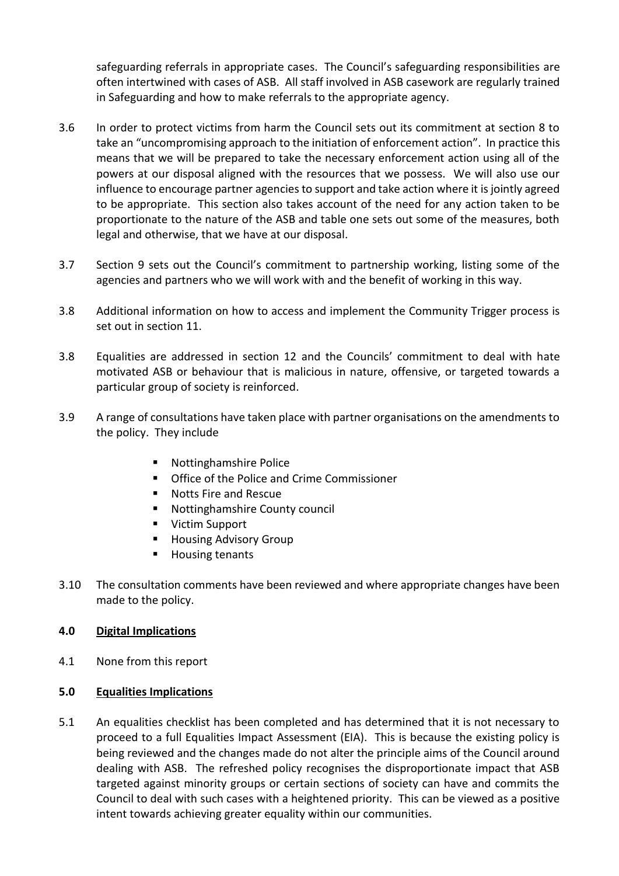safeguarding referrals in appropriate cases. The Council's safeguarding responsibilities are often intertwined with cases of ASB. All staff involved in ASB casework are regularly trained in Safeguarding and how to make referrals to the appropriate agency.

- 3.6 In order to protect victims from harm the Council sets out its commitment at section 8 to take an "uncompromising approach to the initiation of enforcement action". In practice this means that we will be prepared to take the necessary enforcement action using all of the powers at our disposal aligned with the resources that we possess. We will also use our influence to encourage partner agencies to support and take action where it is jointly agreed to be appropriate. This section also takes account of the need for any action taken to be proportionate to the nature of the ASB and table one sets out some of the measures, both legal and otherwise, that we have at our disposal.
- 3.7 Section 9 sets out the Council's commitment to partnership working, listing some of the agencies and partners who we will work with and the benefit of working in this way.
- 3.8 Additional information on how to access and implement the Community Trigger process is set out in section 11.
- 3.8 Equalities are addressed in section 12 and the Councils' commitment to deal with hate motivated ASB or behaviour that is malicious in nature, offensive, or targeted towards a particular group of society is reinforced.
- 3.9 A range of consultations have taken place with partner organisations on the amendments to the policy. They include
	- Nottinghamshire Police
	- **Office of the Police and Crime Commissioner**
	- Notts Fire and Rescue
	- Nottinghamshire County council
	- Victim Support
	- Housing Advisory Group
	- **Housing tenants**
- 3.10 The consultation comments have been reviewed and where appropriate changes have been made to the policy.

# **4.0 Digital Implications**

- 4.1 None from this report
- **5.0 Equalities Implications**
- 5.1 An equalities checklist has been completed and has determined that it is not necessary to proceed to a full Equalities Impact Assessment (EIA). This is because the existing policy is being reviewed and the changes made do not alter the principle aims of the Council around dealing with ASB. The refreshed policy recognises the disproportionate impact that ASB targeted against minority groups or certain sections of society can have and commits the Council to deal with such cases with a heightened priority. This can be viewed as a positive intent towards achieving greater equality within our communities.